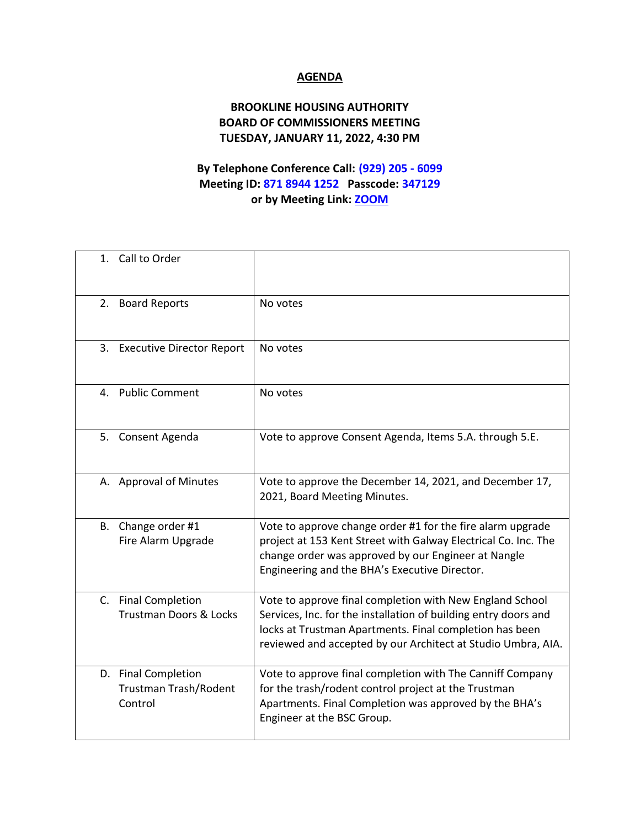## **AGENDA**

## **BROOKLINE HOUSING AUTHORITY BOARD OF COMMISSIONERS MEETING TUESDAY, JANUARY 11, 2022, 4:30 PM**

## **By Telephone Conference Call: (929) 205 - 6099 Meeting ID: 871 8944 1252 Passcode: 347129 or by Meeting Link: [ZOOM](https://us02web.zoom.us/j/87189441252?pwd=dStvNWt4N2g4VXQ4bWI2WW9sWjBxZz09)**

| 1. Call to Order                                         |                                                                                                                                                                                                                                                        |
|----------------------------------------------------------|--------------------------------------------------------------------------------------------------------------------------------------------------------------------------------------------------------------------------------------------------------|
| 2. Board Reports                                         | No votes                                                                                                                                                                                                                                               |
| 3. Executive Director Report                             | No votes                                                                                                                                                                                                                                               |
| 4. Public Comment                                        | No votes                                                                                                                                                                                                                                               |
| 5. Consent Agenda                                        | Vote to approve Consent Agenda, Items 5.A. through 5.E.                                                                                                                                                                                                |
| A. Approval of Minutes                                   | Vote to approve the December 14, 2021, and December 17,<br>2021, Board Meeting Minutes.                                                                                                                                                                |
| Change order #1<br>В.<br>Fire Alarm Upgrade              | Vote to approve change order #1 for the fire alarm upgrade<br>project at 153 Kent Street with Galway Electrical Co. Inc. The<br>change order was approved by our Engineer at Nangle<br>Engineering and the BHA's Executive Director.                   |
| C. Final Completion<br><b>Trustman Doors &amp; Locks</b> | Vote to approve final completion with New England School<br>Services, Inc. for the installation of building entry doors and<br>locks at Trustman Apartments. Final completion has been<br>reviewed and accepted by our Architect at Studio Umbra, AIA. |
| D. Final Completion<br>Trustman Trash/Rodent<br>Control  | Vote to approve final completion with The Canniff Company<br>for the trash/rodent control project at the Trustman<br>Apartments. Final Completion was approved by the BHA's<br>Engineer at the BSC Group.                                              |